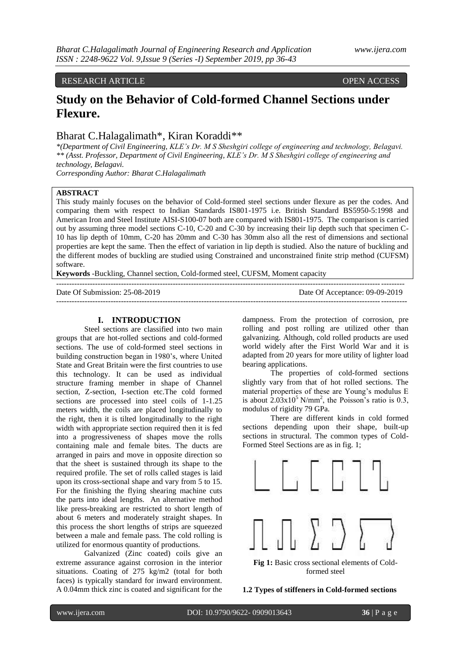# RESEARCH ARTICLE OPEN ACCESS

# **Study on the Behavior of Cold-formed Channel Sections under Flexure.**

# Bharat C.Halagalimath\*, Kiran Koraddi\*\*

*\*(Department of Civil Engineering, KLE's Dr. M S Sheshgiri college of engineering and technology, Belagavi. \*\* (Asst. Professor, Department of Civil Engineering, KLE's Dr. M S Sheshgiri college of engineering and technology, Belagavi. Corresponding Author: Bharat C.Halagalimath*

#### **ABSTRACT**

This study mainly focuses on the behavior of Cold-formed steel sections under flexure as per the codes. And comparing them with respect to Indian Standards IS801-1975 i.e. British Standard BS5950-5:1998 and American Iron and Steel Institute AISI-S100-07 both are compared with IS801-1975. The comparison is carried out by assuming three model sections C-10, C-20 and C-30 by increasing their lip depth such that specimen C-10 has lip depth of 10mm, C-20 has 20mm and C-30 has 30mm also all the rest of dimensions and sectional properties are kept the same. Then the effect of variation in lip depth is studied. Also the nature of buckling and the different modes of buckling are studied using Constrained and unconstrained finite strip method (CUFSM) software.

---------------------------------------------------------------------------------------------------------------------------------------

--------------------------------------------------------------------------------------------------------------------------------------

**Keywords** -Buckling, Channel section, Cold-formed steel, CUFSM, Moment capacity

Date Of Submission: 25-08-2019 Date Of Acceptance: 09-09-2019

#### **I. INTRODUCTION**

Steel sections are classified into two main groups that are hot-rolled sections and cold-formed sections. The use of cold-formed steel sections in building construction began in 1980"s, where United State and Great Britain were the first countries to use this technology. It can be used as individual structure framing member in shape of Channel section, Z-section, I-section etc.The cold formed sections are processed into steel coils of 1-1.25 meters width, the coils are placed longitudinally to the right, then it is tilted longitudinally to the right width with appropriate section required then it is fed into a progressiveness of shapes move the rolls containing male and female bites. The ducts are arranged in pairs and move in opposite direction so that the sheet is sustained through its shape to the required profile. The set of rolls called stages is laid upon its cross-sectional shape and vary from 5 to 15. For the finishing the flying shearing machine cuts the parts into ideal lengths. An alternative method like press-breaking are restricted to short length of about 6 meters and moderately straight shapes. In this process the short lengths of strips are squeezed between a male and female pass. The cold rolling is utilized for enormous quantity of productions.

Galvanized (Zinc coated) coils give an extreme assurance against corrosion in the interior situations. Coating of 275 kg/m2 (total for both faces) is typically standard for inward environment. A 0.04mm thick zinc is coated and significant for the

dampness. From the protection of corrosion, pre rolling and post rolling are utilized other than galvanizing. Although, cold rolled products are used world widely after the First World War and it is adapted from 20 years for more utility of lighter load bearing applications.

The properties of cold-formed sections slightly vary from that of hot rolled sections. The material properties of these are Young's modulus E is about  $2.03 \times 10^5$  N/mm<sup>2</sup>, the Poisson's ratio is 0.3, modulus of rigidity 79 GPa.

There are different kinds in cold formed sections depending upon their shape, built-up sections in structural. The common types of Cold-Formed Steel Sections are as in fig. 1;



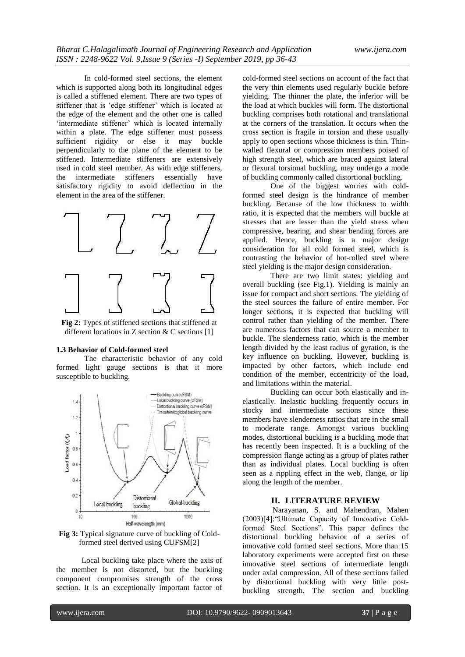In cold-formed steel sections, the element which is supported along both its longitudinal edges is called a stiffened element. There are two types of stiffener that is "edge stiffener" which is located at the edge of the element and the other one is called 'intermediate stiffener' which is located internally within a plate. The edge stiffener must possess sufficient rigidity or else it may buckle perpendicularly to the plane of the element to be stiffened. Intermediate stiffeners are extensively used in cold steel member. As with edge stiffeners, the intermediate stiffeners essentially have satisfactory rigidity to avoid deflection in the element in the area of the stiffener.



**Fig 2:** Types of stiffened sections that stiffened at different locations in Z section  $\& C$  sections [1]

#### **1.3 Behavior of Cold-formed steel**

The characteristic behavior of any cold formed light gauge sections is that it more susceptible to buckling.



**Fig 3:** Typical signature curve of buckling of Coldformed steel derived using CUFSM[2]

 Local buckling take place where the axis of the member is not distorted, but the buckling component compromises strength of the cross section. It is an exceptionally important factor of

cold-formed steel sections on account of the fact that the very thin elements used regularly buckle before yielding. The thinner the plate, the inferior will be the load at which buckles will form. The distortional buckling comprises both rotational and translational at the corners of the translation. It occurs when the cross section is fragile in torsion and these usually apply to open sections whose thickness is thin. Thinwalled flexural or compression members poised of high strength steel, which are braced against lateral or flexural torsional buckling, may undergo a mode of buckling commonly called distortional buckling.

One of the biggest worries with coldformed steel design is the hindrance of member buckling. Because of the low thickness to width ratio, it is expected that the members will buckle at stresses that are lesser than the yield stress when compressive, bearing, and shear bending forces are applied. Hence, buckling is a major design consideration for all cold formed steel, which is contrasting the behavior of hot-rolled steel where steel yielding is the major design consideration.

There are two limit states: yielding and overall buckling (see Fig.1). Yielding is mainly an issue for compact and short sections. The yielding of the steel sources the failure of entire member. For longer sections, it is expected that buckling will control rather than yielding of the member. There are numerous factors that can source a member to buckle. The slenderness ratio, which is the member length divided by the least radius of gyration, is the key influence on buckling. However, buckling is impacted by other factors, which include end condition of the member, eccentricity of the load, and limitations within the material.

Buckling can occur both elastically and inelastically. Inelastic buckling frequently occurs in stocky and intermediate sections since these members have slenderness ratios that are in the small to moderate range. Amongst various buckling modes, distortional buckling is a buckling mode that has recently been inspected. It is a buckling of the compression flange acting as a group of plates rather than as individual plates. Local buckling is often seen as a rippling effect in the web, flange, or lip along the length of the member.

#### **II. LITERATURE REVIEW**

Narayanan, S. and Mahendran, Mahen (2003)[4]:"Ultimate Capacity of Innovative Coldformed Steel Sections". This paper defines the distortional buckling behavior of a series of innovative cold formed steel sections. More than 15 laboratory experiments were accepted first on these innovative steel sections of intermediate length under axial compression. All of these sections failed by distortional buckling with very little postbuckling strength. The section and buckling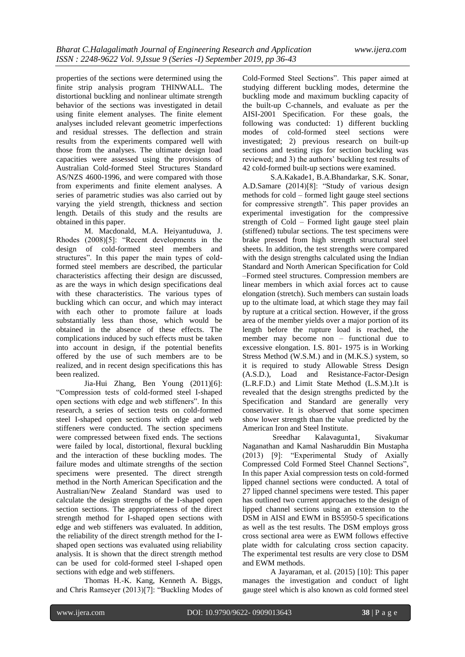properties of the sections were determined using the finite strip analysis program THINWALL. The distortional buckling and nonlinear ultimate strength behavior of the sections was investigated in detail using finite element analyses. The finite element analyses included relevant geometric imperfections and residual stresses. The deflection and strain results from the experiments compared well with those from the analyses. The ultimate design load capacities were assessed using the provisions of Australian Cold-formed Steel Structures Standard AS/NZS 4600-1996, and were compared with those from experiments and finite element analyses. A series of parametric studies was also carried out by varying the yield strength, thickness and section length. Details of this study and the results are obtained in this paper.

M. Macdonald, M.A. Heiyantuduwa, J. Rhodes (2008)[5]: "Recent developments in the design of cold-formed steel members and structures". In this paper the main types of coldformed steel members are described, the particular characteristics affecting their design are discussed, as are the ways in which design specifications deal with these characteristics. The various types of buckling which can occur, and which may interact with each other to promote failure at loads substantially less than those, which would be obtained in the absence of these effects. The complications induced by such effects must be taken into account in design, if the potential benefits offered by the use of such members are to be realized, and in recent design specifications this has been realized.

Jia-Hui Zhang, Ben Young (2011)[6]: "Compression tests of cold-formed steel I-shaped open sections with edge and web stiffeners". In this research, a series of section tests on cold-formed steel I-shaped open sections with edge and web stiffeners were conducted. The section specimens were compressed between fixed ends. The sections were failed by local, distortional, flexural buckling and the interaction of these buckling modes. The failure modes and ultimate strengths of the section specimens were presented. The direct strength method in the North American Specification and the Australian/New Zealand Standard was used to calculate the design strengths of the I-shaped open section sections. The appropriateness of the direct strength method for I-shaped open sections with edge and web stiffeners was evaluated. In addition, the reliability of the direct strength method for the Ishaped open sections was evaluated using reliability analysis. It is shown that the direct strength method can be used for cold-formed steel I-shaped open sections with edge and web stiffeners.

Thomas H.-K. Kang, Kenneth A. Biggs, and Chris Ramseyer (2013)[7]: "Buckling Modes of Cold-Formed Steel Sections". This paper aimed at studying different buckling modes, determine the buckling mode and maximum buckling capacity of the built-up C-channels, and evaluate as per the AISI-2001 Specification. For these goals, the following was conducted: 1) different buckling modes of cold-formed steel sections were investigated; 2) previous research on built-up sections and testing rigs for section buckling was reviewed; and 3) the authors" buckling test results of 42 cold-formed built-up sections were examined.

S.A.Kakade1, B.A.Bhandarkar, S.K. Sonar, A.D.Samare (2014)[8]: "Study of various design methods for cold – formed light gauge steel sections for compressive strength". This paper provides an experimental investigation for the compressive strength of Cold – Formed light gauge steel plain (stiffened) tubular sections. The test specimens were brake pressed from high strength structural steel sheets. In addition, the test strengths were compared with the design strengths calculated using the Indian Standard and North American Specification for Cold –Formed steel structures. Compression members are linear members in which axial forces act to cause elongation (stretch). Such members can sustain loads up to the ultimate load, at which stage they may fail by rupture at a critical section. However, if the gross area of the member yields over a major portion of its length before the rupture load is reached, the member may become non – functional due to excessive elongation. I.S. 801- 1975 is in Working Stress Method (W.S.M.) and in (M.K.S.) system, so it is required to study Allowable Stress Design (A.S.D.), Load and Resistance-Factor-Design (L.R.F.D.) and Limit State Method (L.S.M.).It is revealed that the design strengths predicted by the Specification and Standard are generally very conservative. It is observed that some specimen show lower strength than the value predicted by the American Iron and Steel Institute.

Sreedhar Kalavagunta1, Sivakumar Naganathan and Kamal Nasharuddin Bin Mustapha (2013) [9]: "Experimental Study of Axially Compressed Cold Formed Steel Channel Sections", In this paper Axial compression tests on cold-formed lipped channel sections were conducted. A total of 27 lipped channel specimens were tested. This paper has outlined two current approaches to the design of lipped channel sections using an extension to the DSM in AISI and EWM in BS5950-5 specifications as well as the test results. The DSM employs gross cross sectional area were as EWM follows effective plate width for calculating cross section capacity. The experimental test results are very close to DSM and EWM methods.

A Jayaraman, et al. (2015) [10]: This paper manages the investigation and conduct of light gauge steel which is also known as cold formed steel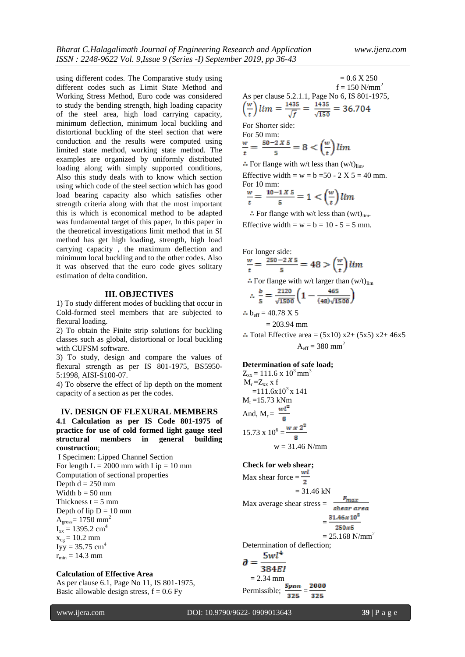using different codes. The Comparative study using different codes such as Limit State Method and Working Stress Method, Euro code was considered to study the bending strength, high loading capacity of the steel area, high load carrying capacity, minimum deflection, minimum local buckling and distortional buckling of the steel section that were conduction and the results were computed using limited state method, working state method. The examples are organized by uniformly distributed loading along with simply supported conditions, Also this study deals with to know which section using which code of the steel section which has good load bearing capacity also which satisfies other strength criteria along with that the most important this is which is economical method to be adapted was fundamental target of this paper, In this paper in the theoretical investigations limit method that in SI method has get high loading, strength, high load carrying capacity , the maximum deflection and minimum local buckling and to the other codes. Also it was observed that the euro code gives solitary estimation of delta condition.

# **III. OBJECTIVES**

1) To study different modes of buckling that occur in Cold-formed steel members that are subjected to flexural loading.

2) To obtain the Finite strip solutions for buckling classes such as global, distortional or local buckling with CUFSM software.

3) To study, design and compare the values of flexural strength as per IS 801-1975, BS5950- 5:1998, AISI-S100-07.

4) To observe the effect of lip depth on the moment capacity of a section as per the codes.

#### **IV. DESIGN OF FLEXURAL MEMBERS**

**4.1 Calculation as per IS Code 801-1975 of practice for use of cold formed light gauge steel structural members in general building construction**;

I Specimen: Lipped Channel Section For length  $L = 2000$  mm with  $Lip = 10$  mm Computation of sectional properties Depth  $d = 250$  mm Width  $b = 50$  mm Thickness  $t = 5$  mm Depth of lip  $D = 10$  mm  $A<sub>gross</sub>= 1750$  mm<sup>2</sup>  $I_{xx} = 1395.2$  cm<sup>4</sup>  $x_{cg} = 10.2$  mm  $Iyy = 35.75$  cm<sup>4</sup>  $r_{\min} = 14.3$  mm

#### **Calculation of Effective Area**

As per clause 6.1, Page No 11, IS 801-1975, Basic allowable design stress,  $f = 0.6$  Fy

$$
= 0.6 \times 250
$$
  
\n $f = 150 \text{ N/mm}^2$   
\nAs per clause 5.2.1.1, Page No 6, IS 801-1975,  
\n $\left(\frac{w}{t}\right) \lim_{t \to \infty} \frac{1435}{\sqrt{f}} = \frac{1435}{\sqrt{150}} = 36.704$   
\nFor Shorter side:  
\nFor 50 mm:  
\n $\frac{w}{t} = \frac{50 - 2 \times 5}{5} = 8 < \left(\frac{w}{t}\right) \lim_{t \to \infty} \frac{1}{t}$ 

 $\therefore$  For flange with w/t less than  $(w/t)_{\text{lim}}$ .

Effective width =  $w = b = 50 - 2 X 5 = 40$  mm. For 10 mm:

$$
\frac{w}{t} = \frac{10 - 1 \times 5}{5} = 1 < \left(\frac{w}{t}\right) \lim_{t \to \infty}
$$

 $\therefore$  For flange with w/t less than  $(w/t)_{lim}$ . Effective width =  $w = b = 10 - 5 = 5$  mm.

For longer side:

$$
\frac{w}{t} = \frac{250 - 2 \times 5}{5} = 48 > \left(\frac{w}{t}\right) \lim_{t \to \infty} \frac{w}{t}
$$
  
For flange with w/t larger than (w/t)<sub>lim</sub>  

$$
\frac{b}{t} = \frac{2120}{5} \left(1 - \frac{465}{t}\right)
$$

$$
\frac{1}{5} - \frac{1}{\sqrt{1500}} \left( 1 - \frac{1}{(48)\sqrt{1500}} \right)
$$

••  $b_{\text{eff}} = 40.78 \text{ X } 5$ 

 $= 203.94$  mm

 $\therefore$  Total Effective area = (5x10) x2+ (5x5) x2+ 46x5  $A_{\text{eff}} = 380 \text{ mm}^2$ 

## **Determination of safe load;**

 $Z_{xx}$  = 111.6 x 10<sup>3</sup> mm<sup>3</sup>  $M_r = Z_{xx}$  x f  $=111.6x10^{3}x141$  $M_r = 15.73$  kNm And,  $M_r = \frac{wl^2}{8}$  $15.73 \times 10^6$  =  $w = 31.46$  N/mm

**Check for web shear;**

Max shear force =  $= 31.46$  kN  $F_{max}$ Max average shear stress  $=$ shear area  $=$   $\frac{1}{2}$   $\frac{1}{2}$   $\frac{1}{2}$   $\frac{1}{2}$   $\frac{1}{2}$   $\frac{1}{2}$   $\frac{1}{2}$   $\frac{1}{2}$   $\frac{1}{2}$   $\frac{1}{2}$   $\frac{1}{2}$  $250x5$  $= 25.168$  N/mm<sup>2</sup> Determination of deflection;<br>  $\partial = \frac{5wl^4}{384EI}$  $= 2.34$  mm

Permissible; 
$$
\frac{span}{325} = \frac{2000}{325}
$$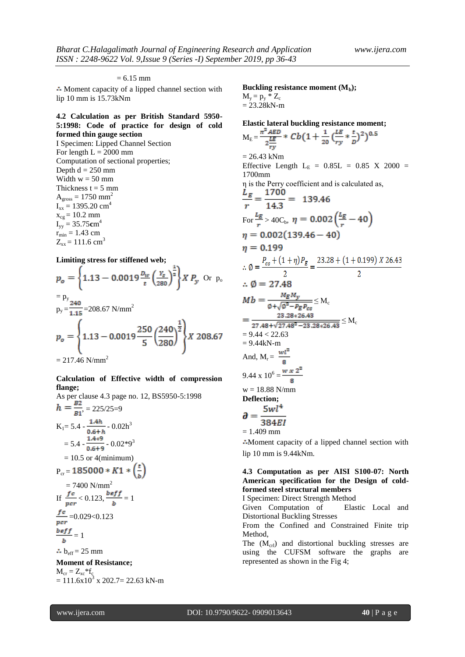#### $= 6.15$  mm

Moment capacity of a lipped channel section with lip 10 mm is 15.73kNm

**4.2 Calculation as per British Standard 5950- 5:1998: Code of practice for design of cold formed thin gauge section** I Specimen: Lipped Channel Section For length  $L = 2000$  mm Computation of sectional properties; Depth  $d = 250$  mm Width  $w = 50$  mm Thickness  $t = 5$  mm  $A<sub>gross</sub> = 1750$  mm<sup>2</sup>  $I_{xx} = 1395.20$  cm<sup>4</sup>  $x_{cg} = 10.2$  mm  $I_{yy} = 35.75$  cm<sup>4</sup>  $r_{min} = 1.43$  cm  $Z_{xx}$  = 111.6 cm<sup>3</sup>

#### **Limiting stress for stiffened web;**

$$
p_o = \left\{ 1.13 - 0.0019 \frac{D_w}{t} \left( \frac{Y_s}{280} \right)^{\frac{1}{2}} \right\} X P_y \text{ Or } p_o
$$
  
=  $p_y$   
 $p_y = \frac{240}{1.15} = 208.67 \text{ N/mm}^2$   

$$
p_o = \left\{ 1.13 - 0.0019 \frac{250}{5} \left( \frac{240}{280} \right)^{\frac{1}{2}} \right\} X 208.67
$$

 $= 217.46$  N/mm<sup>2</sup>

#### **Calculation of Effective width of compression flange;**

As per clause 4.3 page no. 12, BS5950-5:1998  $h = \frac{B2}{B1} = 225/25=9$  $K_1 = 5.4 - \frac{1.4m}{0.61h} - 0.02h^3$  $= 5.4 - \frac{24449}{0.648} - 0.02*9^3$  $= 10.5$  or 4(minimum)  $P_{cr} = 185000 * K1 * \left(\frac{t}{h}\right)$  $= 7400$  N/mm<sup>2</sup> If  $\frac{1}{2}$  < 0.123,  $\frac{1}{2}$  = 1  $\frac{fc}{pcr}$  =0.029<0.123  $\frac{beff}{b} = 1$  $\therefore$  b<sub>eff</sub> = 25 mm **Moment of Resistance;**  $M_{cr} = Z_{xc} * f_c$  $= 111.6x10<sup>3</sup>$  x 202.7= 22.63 kN-m

**Buckling resistance moment (Mb);**  $\mathbf{M}_\text{y}=\mathbf{p}_\text{y}$  \*  $\mathbf{Z}_\text{c}$  $= 23.28kN-m$ 

**Elastic lateral buckling resistance moment;**<br> $\pi^2 AED = 2 \times 2 \times 1^2 AEB = 5 \times 2 \times 2 \times 5$ 

$$
M_{E} = \frac{n_{E}B}{2\frac{LE}{ry}} * Cb(1 + \frac{1}{20}(\frac{m}{ry} * \frac{v}{D})^{2})^{0.5}
$$
  
= 26.43 kNm  
Effective Length L<sub>E</sub> = 0.85L = 0.85 X 2000 =  
1700mm  
\n $\eta$  is the Perry coefficient and is calculated as,  
 $\frac{L_{E}}{r} = \frac{1700}{14.3} = 139.46$   
For  $\frac{L_{E}}{r} > 40C_{b}$ ,  $\eta = 0.002(\frac{L_{E}}{r} - 40)$   
 $\eta = 0.002(139.46 - 40)$   
 $\eta = 0.199$   
 $\therefore \phi = \frac{P_{cs} + (1 + \eta)P_{E}}{2} = \frac{23.28 + (1 + 0.199) X 26.43}{2}$   
 $\therefore \phi = 27.48$   
 $Mb = \frac{M_{E}M_{y}}{\phi + \sqrt{\phi^{2} - P_{E}P_{cs}}} \le M_{c}$   
 $= \frac{23.28 * 26.43}{27.48 + \sqrt{27.48^{2} - 23.28 * 26.43}} \le M_{c}$   
= 9.44 < 22.63  
= 9.44kNm  
And,  $M_{r} = \frac{wt^{2}}{8}$   
 $9.44 \times 10^{6} = \frac{wt \times 2^{2}}{8}$   
 $w = 18.88 N/mm$   
**Deflection;**  
 $\theta = \frac{5wl^{4}}{384EI}$   
= 1.409 mm

Moment capacity of a lipped channel section with lip 10 mm is 9.44kNm.

# **4.3 Computation as per AISI S100-07: North American specification for the Design of coldformed steel structural members**

I Specimen: Direct Strength Method

Given Computation of Elastic Local and Distortional Buckling Stresses

From the Confined and Constrained Finite trip Method,

The  $(M_{\text{crl}})$  and distortional buckling stresses are using the CUFSM software the graphs are represented as shown in the Fig 4;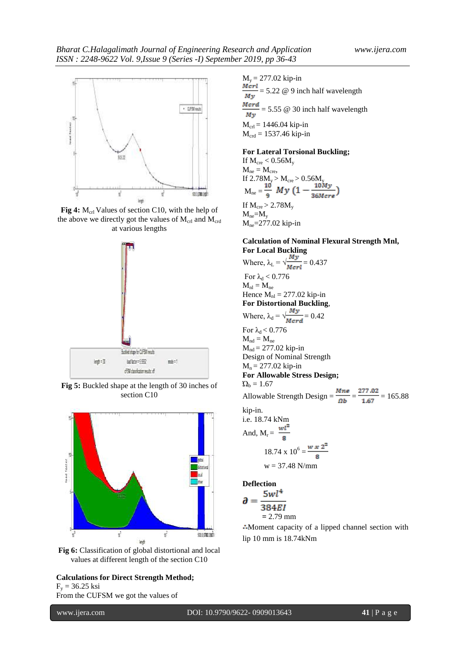

Fig 4:  $M_{\text{crl}}$  Values of section C10, with the help of the above we directly got the values of  $M_{\text{crl}}$  and  $M_{\text{crd}}$ at various lengths



**Fig 5:** Buckled shape at the length of 30 inches of section C10



**Fig 6:** Classification of global distortional and local values at different length of the section C10

**Calculations for Direct Strength Method;**  $F_v = 36.25$  ksi From the CUFSM we got the values of

 $M_v = 277.02$  kip-in

 $\frac{M_{\text{cyl}}}{My} = 5.22 \text{ @ } 9 \text{ inch half wavelength}$  $\frac{Mcrd}{My} = 5.55 \text{ } @30 \text{ inch half wavelength}$  $M_{\text{crl}} = 1446.04 \text{ kip-in}$  $M_{\text{crd}} = 1537.46$  kip-in

# **For Lateral Torsional Buckling;**

If  $M_{cre} < 0.56 M_{y}$  $M_{ne} = M_{cre}$ If 2.78 $M_{y} > M_{cre} > 0.56 M_{y}$  $M_{ne} =$ If  $M_{\text{cre}}$  > 2.78 $M_{\text{v}}$  $M_{ne} = M_{v}$  $M_{ne} = 277.02$  kip-in

# **Calculation of Nominal Flexural Strength Mnl, For Local Buckling**

Where,  $\lambda_L = \sqrt{\frac{M_{\text{c}}}} = 0.437$ For  $\lambda_d < 0.776$  $M_{nl} = M_{ne}$ Hence  $M_{nl} = 277.02$  kip-in **For Distortional Buckling**, Where,  $\lambda_d = \sqrt{\frac{M \cos \theta}{M \cos \theta}} = 0.42$ For  $\lambda_d$  < 0.776  $M_{nd} = M_{ne}$  $M_{nd} = 277.02$  kip-in Design of Nominal Strength  $M_n = 277.02$  kip-in **For Allowable Stress Design;**  $\Omega_b = 1.67$ Allowable Strength Design =  $\frac{Mne}{\Omega b} = \frac{277.02}{1.67} = 165.88$ kip-in. i.e. 18.74 kNm And,  $M_r = \frac{wl^2}{8}$  $18.74 \times 10^6$  =

$$
w = 37.48 \text{ N/mm}
$$

**Deflection**

$$
\partial = \frac{5wl^*}{384EI}
$$

 **=** 2.79 mm

Moment capacity of a lipped channel section with lip 10 mm is 18.74kNm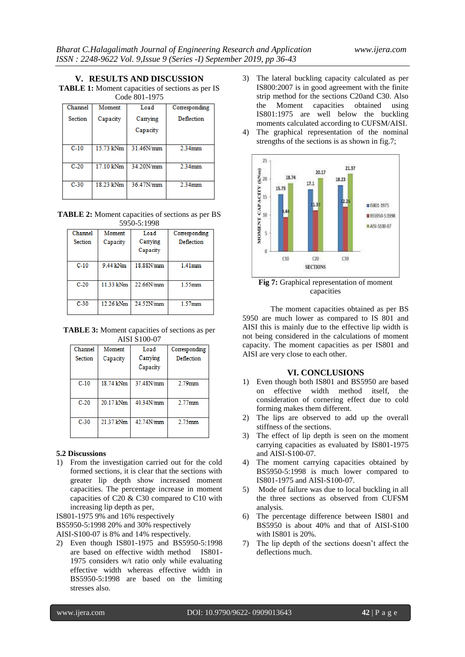**V. RESULTS AND DISCUSSION TABLE 1:** Moment capacities of sections as per IS Code 801-1975

| Channel        | Moment    | Load      | Corresponding     |  |  |  |
|----------------|-----------|-----------|-------------------|--|--|--|
| <b>Section</b> | Capacity  | Carrying  | <b>Deflection</b> |  |  |  |
|                |           | Capacity  |                   |  |  |  |
| $C-10$         | 15.73 kNm | 31.46N/mm | 2.34mm            |  |  |  |
|                |           |           |                   |  |  |  |
| $C-20$         | 17.10 kNm | 34.20N/mm | 2.34mm            |  |  |  |
|                |           |           |                   |  |  |  |
| $C-30$         | 18.23 kNm | 36.47N/mm | 2.34mm            |  |  |  |
|                |           |           |                   |  |  |  |

**TABLE 2:** Moment capacities of sections as per BS  $505051008$ 

| ., , , , , , , , , , , , , |           |           |                      |  |  |  |
|----------------------------|-----------|-----------|----------------------|--|--|--|
| Channel                    | Moment    | Load      | Corresponding        |  |  |  |
| <b>Section</b>             | Capacity  | Carrying  | Deflection           |  |  |  |
|                            |           | Capacity  |                      |  |  |  |
|                            |           |           |                      |  |  |  |
| $C-10$                     | 9.44 kNm  | 18.88N/mm | 1.41mm               |  |  |  |
|                            |           |           |                      |  |  |  |
| $C-20$                     | 11.33 kNm | 22.66N/mm | 1.55mm               |  |  |  |
|                            |           |           |                      |  |  |  |
| $C-30$                     | 12.26 kNm | 24.52N/mm | $1.57$ <sub>mm</sub> |  |  |  |
|                            |           |           |                      |  |  |  |

**TABLE 3:** Moment capacities of sections as per AISI S100-07

| Channel | Moment    | Load      | Corresponding |  |  |  |
|---------|-----------|-----------|---------------|--|--|--|
| Section | Capacity  | Carrying  | Deflection    |  |  |  |
|         |           | Capacity  |               |  |  |  |
|         |           |           |               |  |  |  |
| $C-10$  | 18.74 kNm | 37.48N/mm | $2.79$ mm     |  |  |  |
|         |           |           |               |  |  |  |
| $C-20$  | 20.17 kNm | 40.34N/mm | $2.77$ mm     |  |  |  |
|         |           |           |               |  |  |  |
| $C-30$  | 21.37 kNm | 42.74N/mm | $2.75$ mm     |  |  |  |
|         |           |           |               |  |  |  |

#### **5.2 Discussions**

1) From the investigation carried out for the cold formed sections, it is clear that the sections with greater lip depth show increased moment capacities. The percentage increase in moment capacities of C20 & C30 compared to C10 with increasing lip depth as per,

IS801-1975 9% and 16% respectively BS5950-5:1998 20% and 30% respectively

AISI-S100-07 is 8% and 14% respectively.

2) Even though IS801-1975 and BS5950-5:1998 are based on effective width method IS801- 1975 considers w/t ratio only while evaluating effective width whereas effective width in BS5950-5:1998 are based on the limiting stresses also.

- 3) The lateral buckling capacity calculated as per IS800:2007 is in good agreement with the finite strip method for the sections C20and C30. Also the Moment capacities obtained using IS801:1975 are well below the buckling moments calculated according to CUFSM/AISI.
- 4) The graphical representation of the nominal strengths of the sections is as shown in fig.7;



**Fig 7:** Graphical representation of moment capacities

The moment capacities obtained as per BS 5950 are much lower as compared to IS 801 and AISI this is mainly due to the effective lip width is not being considered in the calculations of moment capacity. The moment capacities as per IS801 and AISI are very close to each other.

# **VI. CONCLUSIONS**

- 1) Even though both IS801 and BS5950 are based on effective width method itself, the consideration of cornering effect due to cold forming makes them different.
- 2) The lips are observed to add up the overall stiffness of the sections.
- 3) The effect of lip depth is seen on the moment carrying capacities as evaluated by IS801-1975 and AISI-S100-07.
- 4) The moment carrying capacities obtained by BS5950-5:1998 is much lower compared to IS801-1975 and AISI-S100-07.
- 5) Mode of failure was due to local buckling in all the three sections as observed from CUFSM analysis.
- 6) The percentage difference between IS801 and BS5950 is about 40% and that of AISI-S100 with IS801 is 20%.
- 7) The lip depth of the sections doesn"t affect the deflections much.